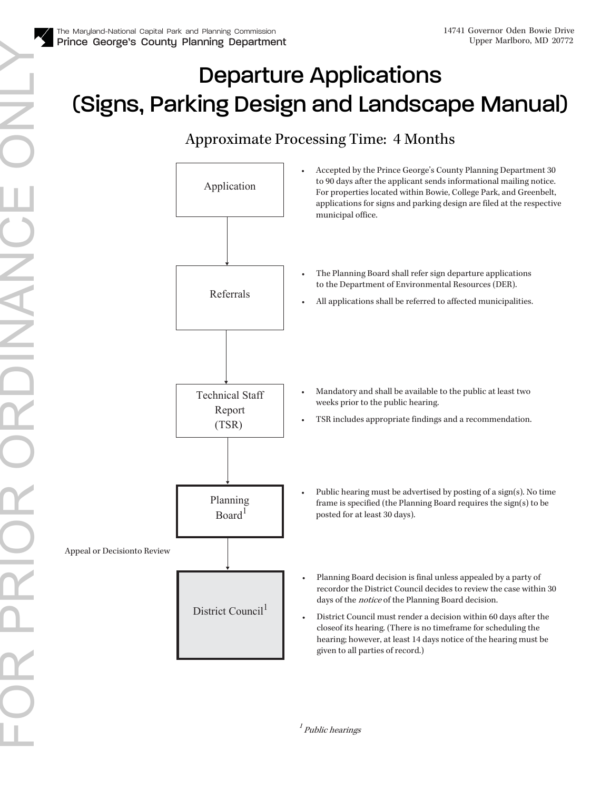## Departure Applications (Signs, Parking Design and Landscape Manual)

## Approximate Processing Time: 4 Months